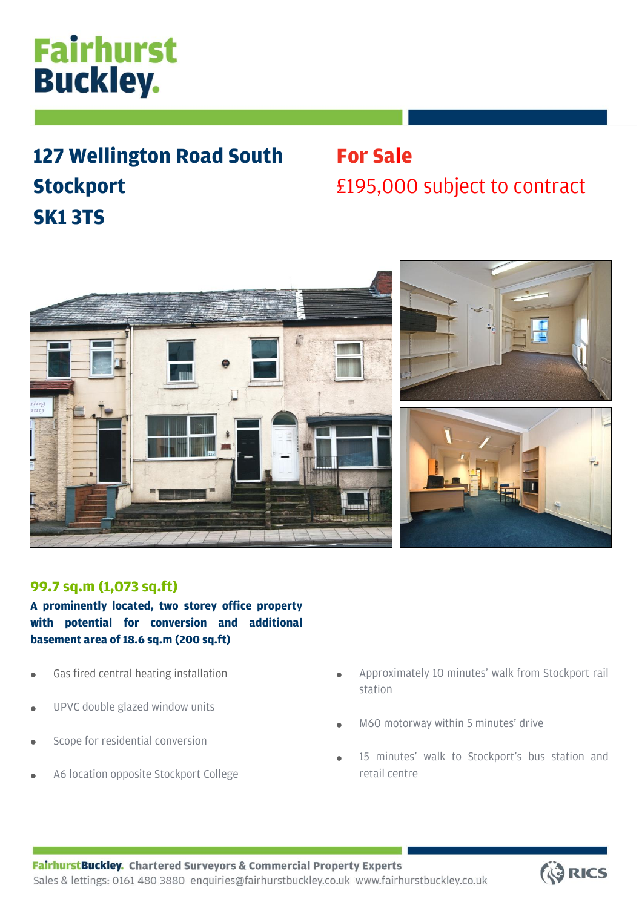# **Fairhurst Buckley.**

### **127 Wellington Road South Stockport SK1 3TS**

## **For Sale**  £195,000 subject to contract





### **99.7 sq.m (1,073 sq.ft)**

**A prominently located, two storey office property with potential for conversion and additional basement area of 18.6 sq.m (200 sq.ft)**

- Gas fired central heating installation
- UPVC double glazed window units
- Scope for residential conversion
- A6 location opposite Stockport College
- Approximately 10 minutes' walk from Stockport rail station
- M60 motorway within 5 minutes' drive
- 15 minutes' walk to Stockport's bus station and retail centre

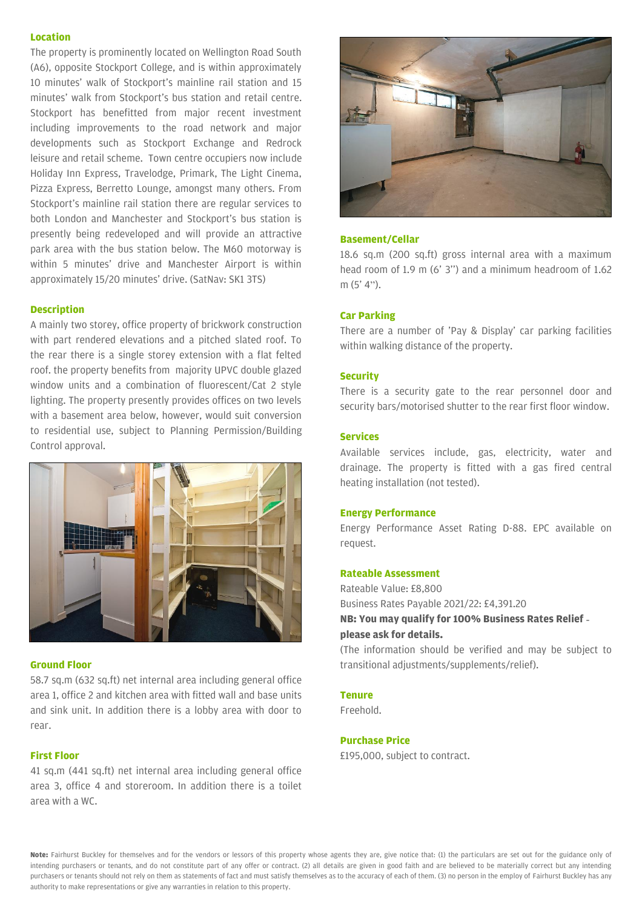#### **Location**

The property is prominently located on Wellington Road South (A6), opposite Stockport College, and is within approximately 10 minutes' walk of Stockport's mainline rail station and 15 minutes' walk from Stockport's bus station and retail centre. Stockport has benefitted from major recent investment including improvements to the road network and major developments such as Stockport Exchange and Redrock leisure and retail scheme. Town centre occupiers now include Holiday Inn Express, Travelodge, Primark, The Light Cinema, Pizza Express, Berretto Lounge, amongst many others. From Stockport's mainline rail station there are regular services to both London and Manchester and Stockport's bus station is presently being redeveloped and will provide an attractive park area with the bus station below. The M60 motorway is within 5 minutes' drive and Manchester Airport is within approximately 15/20 minutes' drive. (SatNav: SK1 3TS)

#### **Description**

A mainly two storey, office property of brickwork construction with part rendered elevations and a pitched slated roof. To the rear there is a single storey extension with a flat felted roof. the property benefits from majority UPVC double glazed window units and a combination of fluorescent/Cat 2 style lighting. The property presently provides offices on two levels with a basement area below, however, would suit conversion to residential use, subject to Planning Permission/Building Control approval.



#### **Ground Floor**

58.7 sq.m (632 sq.ft) net internal area including general office area 1, office 2 and kitchen area with fitted wall and base units and sink unit. In addition there is a lobby area with door to rear.

#### **First Floor**

41 sq.m (441 sq.ft) net internal area including general office area 3, office 4 and storeroom. In addition there is a toilet area with a WC.



#### **Basement/Cellar**

18.6 sq.m (200 sq.ft) gross internal area with a maximum head room of 1.9 m (6' 3'') and a minimum headroom of 1.62  $m(5' 4")$ .

#### **Car Parking**

There are a number of 'Pay & Display' car parking facilities within walking distance of the property.

#### **Security**

There is a security gate to the rear personnel door and security bars/motorised shutter to the rear first floor window.

#### **Services**

Available services include, gas, electricity, water and drainage. The property is fitted with a gas fired central heating installation (not tested).

#### **Energy Performance**

Energy Performance Asset Rating D-88. EPC available on request.

#### **Rateable Assessment**

Rateable Value: £8,800 Business Rates Payable 2021/22: £4,391.20 **NB: You may qualify for 100% Business Rates Relief please ask for details.**

(The information should be verified and may be subject to transitional adjustments/supplements/relief).

#### **Tenure**

Freehold.

#### **Purchase Price**

£195,000, subject to contract.

**Note:** Fairhurst Buckley for themselves and for the vendors or lessors of this property whose agents they are, give notice that: (1) the particulars are set out for the guidance only of intending purchasers or tenants, and do not constitute part of any offer or contract. (2) all details are given in good faith and are believed to be materially correct but any intending purchasers or tenants should not rely on them as statements of fact and must satisfy themselves as to the accuracy of each of them. (3) no person in the employ of Fairhurst Buckley has any authority to make representations or give any warranties in relation to this property.